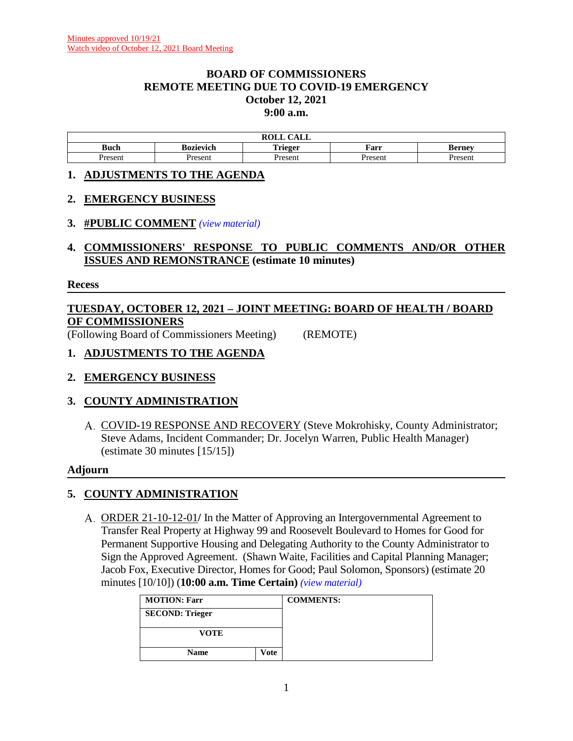### **BOARD OF COMMISSIONERS REMOTE MEETING DUE TO COVID-19 EMERGENCY October 12, 2021 9:00 a.m.**

| $\sim$ $\sim$ $\sim$<br>$\mathbf{M}$<br><b>KOLL</b><br>САЫС |           |                 |         |                       |  |  |
|-------------------------------------------------------------|-----------|-----------------|---------|-----------------------|--|--|
| Buch                                                        | Bozievich | m. .<br>`rieger | Farr    | Bernev                |  |  |
| resent                                                      | Present   | resen           | Present | <i>r</i> acan<br>эсн. |  |  |

### **1. ADJUSTMENTS TO THE AGENDA**

## **2. EMERGENCY BUSINESS**

## **3. #PUBLIC COMMENT** *(view [material\)](http://www.lanecountyor.gov/UserFiles/Servers/Server_3585797/File/Government/BCC/2021/2021_AGENDAS/101221agenda/T.3.pdf)*

**4. COMMISSIONERS' RESPONSE TO PUBLIC COMMENTS AND/OR OTHER ISSUES AND REMONSTRANCE (estimate 10 minutes)**

#### **Recess**

# **TUESDAY, OCTOBER 12, 2021 – JOINT MEETING: BOARD OF HEALTH / BOARD OF COMMISSIONERS**

(Following Board of Commissioners Meeting) (REMOTE)

## **1. ADJUSTMENTS TO THE AGENDA**

**2. EMERGENCY BUSINESS**

## **3. COUNTY ADMINISTRATION**

A. COVID-19 RESPONSE AND RECOVERY (Steve Mokrohisky, County Administrator; Steve Adams, Incident Commander; Dr. Jocelyn Warren, Public Health Manager) (estimate 30 minutes [15/15])

### **Adjourn**

## **5. COUNTY ADMINISTRATION**

ORDER 21-10-12-01**/** In the Matter of Approving an Intergovernmental Agreement to Transfer Real Property at Highway 99 and Roosevelt Boulevard to Homes for Good for Permanent Supportive Housing and Delegating Authority to the County Administrator to Sign the Approved Agreement. (Shawn Waite, Facilities and Capital Planning Manager; Jacob Fox, Executive Director, Homes for Good; Paul Solomon, Sponsors) (estimate 20 minutes [10/10]) (**10:00 a.m. Time Certain)** *(view [material\)](http://www.lanecountyor.gov/UserFiles/Servers/Server_3585797/File/Government/BCC/2021/2021_AGENDAS/101221agenda/T.5.A.pdf)*

| <b>MOTION: Farr</b>    |  | <b>COMMENTS:</b> |
|------------------------|--|------------------|
| <b>SECOND: Trieger</b> |  |                  |
| <b>VOTE</b>            |  |                  |
| <b>Name</b><br>Vote    |  |                  |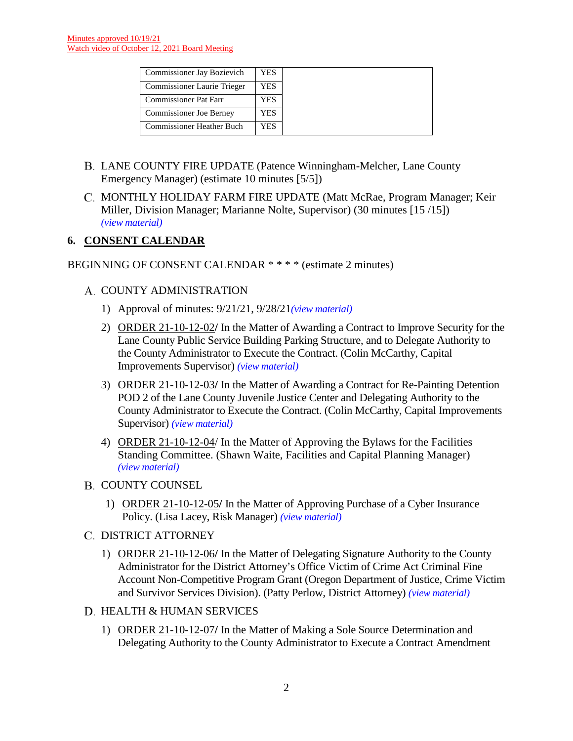| Commissioner Jay Bozievich       | YES. |
|----------------------------------|------|
| Commissioner Laurie Trieger      | YES  |
| <b>Commissioner Pat Farr</b>     | YES  |
| <b>Commissioner Joe Berney</b>   | YES  |
| <b>Commissioner Heather Buch</b> | YES  |

- LANE COUNTY FIRE UPDATE (Patence Winningham-Melcher, Lane County Emergency Manager) (estimate 10 minutes [5/5])
- MONTHLY HOLIDAY FARM FIRE UPDATE (Matt McRae, Program Manager; Keir Miller, Division Manager; Marianne Nolte, Supervisor) (30 minutes [15 /15]) *(view [material\)](http://www.lanecountyor.gov/UserFiles/Servers/Server_3585797/File/Government/BCC/2021/2021_AGENDAS/101221agenda/T.5.C.pdf)*

## **6. CONSENT CALENDAR**

## BEGINNING OF CONSENT CALENDAR \* \* \* \* (estimate 2 minutes)

## A. COUNTY ADMINISTRATION

- 1) Approval of minutes: 9/21/21, 9/28/21*(view [material\)](http://www.lanecountyor.gov/UserFiles/Servers/Server_3585797/File/Government/BCC/2021/2021_AGENDAS/101221agenda/T.6.A.1.pdf)*
- 2) ORDER 21-10-12-02**/** In the Matter of Awarding a Contract to Improve Security for the Lane County Public Service Building Parking Structure, and to Delegate Authority to the County Administrator to Execute the Contract. (Colin McCarthy, Capital Improvements Supervisor) *(view [material\)](http://www.lanecountyor.gov/UserFiles/Servers/Server_3585797/File/Government/BCC/2021/2021_AGENDAS/101221agenda/T.6.A.2.pdf)*
- 3) ORDER 21-10-12-03**/** In the Matter of Awarding a Contract for Re-Painting Detention POD 2 of the Lane County Juvenile Justice Center and Delegating Authority to the County Administrator to Execute the Contract. (Colin McCarthy, Capital Improvements Supervisor) *(view [material\)](http://www.lanecountyor.gov/UserFiles/Servers/Server_3585797/File/Government/BCC/2021/2021_AGENDAS/101221agenda/T.6.A.3.pdf)*
- 4) ORDER 21-10-12-04/ In the Matter of Approving the Bylaws for the Facilities Standing Committee. (Shawn Waite, Facilities and Capital Planning Manager) *(view [material\)](http://www.lanecountyor.gov/UserFiles/Servers/Server_3585797/File/Government/BCC/2021/2021_AGENDAS/101221agenda/T.6.A.4.pdf)*
- **B. COUNTY COUNSEL** 
	- 1) ORDER 21-10-12-05**/** In the Matter of Approving Purchase of a Cyber Insurance Policy. (Lisa Lacey, Risk Manager) *(view [material\)](http://www.lanecountyor.gov/UserFiles/Servers/Server_3585797/File/Government/BCC/2021/2021_AGENDAS/101221agenda/T.6.B.1.pdf)*

### C. DISTRICT ATTORNEY

- 1) ORDER 21-10-12-06**/** In the Matter of Delegating Signature Authority to the County Administrator for the District Attorney's Office Victim of Crime Act Criminal Fine Account Non-Competitive Program Grant (Oregon Department of Justice, Crime Victim and Survivor Services Division). (Patty Perlow, District Attorney) *(view [material\)](http://www.lanecountyor.gov/UserFiles/Servers/Server_3585797/File/Government/BCC/2021/2021_AGENDAS/101221agenda/T.6.C.1.pdf)*
- D. HEALTH & HUMAN SERVICES
	- 1) ORDER 21-10-12-07**/** In the Matter of Making a Sole Source Determination and Delegating Authority to the County Administrator to Execute a Contract Amendment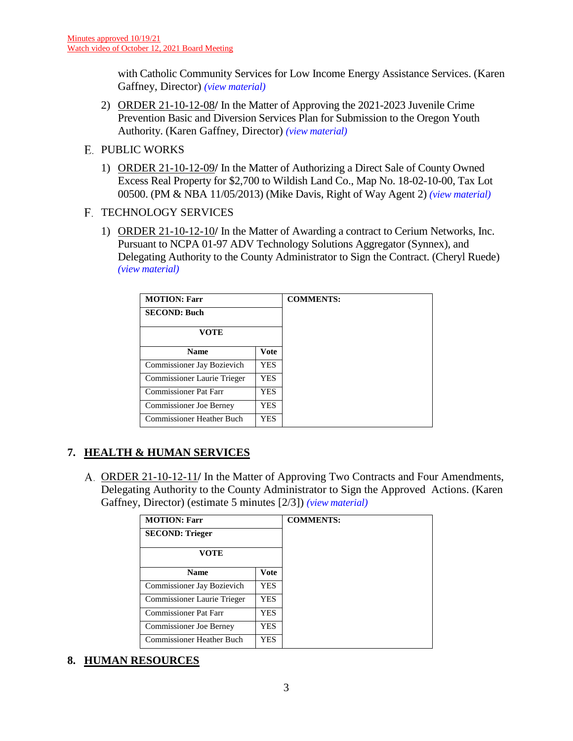with Catholic Community Services for Low Income Energy Assistance Services. (Karen Gaffney, Director) *(view [material\)](http://www.lanecountyor.gov/UserFiles/Servers/Server_3585797/File/Government/BCC/2021/2021_AGENDAS/101221agenda/T.6.D.1.pdf)*

- 2) ORDER 21-10-12-08**/** In the Matter of Approving the 2021-2023 Juvenile Crime Prevention Basic and Diversion Services Plan for Submission to the Oregon Youth Authority. (Karen Gaffney, Director) *(view [material\)](http://www.lanecountyor.gov/UserFiles/Servers/Server_3585797/File/Government/BCC/2021/2021_AGENDAS/101221agenda/T.6.D.2.pdf)*
- **E. PUBLIC WORKS** 
	- 1) ORDER 21-10-12-09**/** In the Matter of Authorizing a Direct Sale of County Owned Excess Real Property for \$2,700 to Wildish Land Co., Map No. 18-02-10-00, Tax Lot 00500. (PM & NBA 11/05/2013) (Mike Davis, Right of Way Agent 2) *(view [material\)](http://www.lanecountyor.gov/UserFiles/Servers/Server_3585797/File/Government/BCC/2021/2021_AGENDAS/101221agenda/T.6.E.1.pdf)*

## F. TECHNOLOGY SERVICES

1) ORDER 21-10-12-10**/** In the Matter of Awarding a contract to Cerium Networks, Inc. Pursuant to NCPA 01-97 ADV Technology Solutions Aggregator (Synnex), and Delegating Authority to the County Administrator to Sign the Contract. (Cheryl Ruede) *(view [material\)](http://www.lanecountyor.gov/UserFiles/Servers/Server_3585797/File/Government/BCC/2021/2021_AGENDAS/101221agenda/T.6.F.1.pdf)*

| <b>MOTION: Farr</b>                     |             |  |
|-----------------------------------------|-------------|--|
| <b>SECOND: Buch</b>                     |             |  |
| <b>VOTE</b>                             |             |  |
| <b>Name</b>                             | <b>Vote</b> |  |
| Commissioner Jay Bozievich              | <b>YES</b>  |  |
| Commissioner Laurie Trieger             | YES.        |  |
| Commissioner Pat Farr                   | YES         |  |
| <b>Commissioner Joe Berney</b>          | YES         |  |
| <b>Commissioner Heather Buch</b><br>YES |             |  |

# **7. HEALTH & HUMAN SERVICES**

ORDER 21-10-12-11**/** In the Matter of Approving Two Contracts and Four Amendments, Delegating Authority to the County Administrator to Sign the Approved Actions. (Karen Gaffney, Director) (estimate 5 minutes [2/3]) *(view [material\)](http://www.lanecountyor.gov/UserFiles/Servers/Server_3585797/File/Government/BCC/2021/2021_AGENDAS/101221agenda/T.7.A.pdf)*

| <b>MOTION: Farr</b>              |             | <b>COMMENTS:</b> |
|----------------------------------|-------------|------------------|
| <b>SECOND: Trieger</b>           |             |                  |
| <b>VOTE</b>                      |             |                  |
| <b>Name</b>                      | <b>Vote</b> |                  |
| Commissioner Jay Bozievich       | <b>YES</b>  |                  |
| Commissioner Laurie Trieger      | YES.        |                  |
| <b>Commissioner Pat Farr</b>     | YES         |                  |
| <b>Commissioner Joe Berney</b>   | YES         |                  |
| Commissioner Heather Buch<br>YES |             |                  |

**8. HUMAN RESOURCES**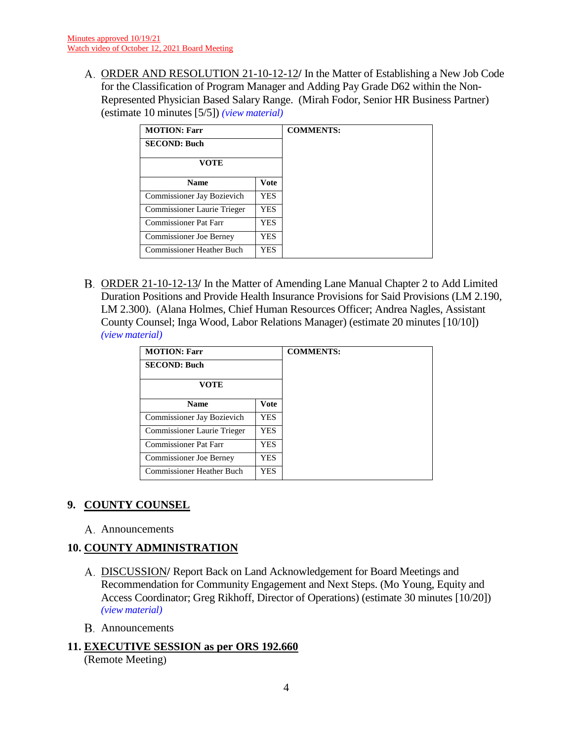ORDER AND RESOLUTION 21-10-12-12**/** In the Matter of Establishing a New Job Code for the Classification of Program Manager and Adding Pay Grade D62 within the Non-Represented Physician Based Salary Range. (Mirah Fodor, Senior HR Business Partner) (estimate 10 minutes [5/5]) *(view [material\)](http://www.lanecountyor.gov/UserFiles/Servers/Server_3585797/File/Government/BCC/2021/2021_AGENDAS/101221agenda/T.8.A.pdf)*

| <b>MOTION: Farr</b>              |            |  |
|----------------------------------|------------|--|
| <b>SECOND: Buch</b>              |            |  |
| <b>VOTE</b>                      |            |  |
| <b>Name</b>                      | Vote       |  |
| Commissioner Jay Bozievich       | <b>YES</b> |  |
| Commissioner Laurie Trieger      | YES.       |  |
| <b>Commissioner Pat Farr</b>     | YES        |  |
| <b>Commissioner Joe Berney</b>   | YES        |  |
| <b>Commissioner Heather Buch</b> | YES.       |  |

ORDER 21-10-12-13**/** In the Matter of Amending Lane Manual Chapter 2 to Add Limited Duration Positions and Provide Health Insurance Provisions for Said Provisions (LM 2.190, LM 2.300). (Alana Holmes, Chief Human Resources Officer; Andrea Nagles, Assistant County Counsel; Inga Wood, Labor Relations Manager) (estimate 20 minutes [10/10]) *(view [material\)](http://www.lanecountyor.gov/UserFiles/Servers/Server_3585797/File/Government/BCC/2021/2021_AGENDAS/101221agenda/T.8.B.pdf)*

| <b>MOTION: Farr</b>              |             | <b>COMMENTS:</b> |
|----------------------------------|-------------|------------------|
| <b>SECOND: Buch</b>              |             |                  |
| <b>VOTE</b>                      |             |                  |
| <b>Name</b>                      | <b>Vote</b> |                  |
| Commissioner Jay Bozievich       | <b>YES</b>  |                  |
| Commissioner Laurie Trieger      | YES         |                  |
| Commissioner Pat Farr            | YES         |                  |
| Commissioner Joe Berney          | YES.        |                  |
| <b>Commissioner Heather Buch</b> | YES         |                  |

## **9. COUNTY COUNSEL**

A. Announcements

# **10. COUNTY ADMINISTRATION**

- DISCUSSION**/** Report Back on Land Acknowledgement for Board Meetings and Recommendation for Community Engagement and Next Steps. (Mo Young, Equity and Access Coordinator; Greg Rikhoff, Director of Operations) (estimate 30 minutes [10/20]) *(view [material\)](http://www.lanecountyor.gov/UserFiles/Servers/Server_3585797/File/Government/BCC/2021/2021_AGENDAS/101221agenda/T.10.A.pdf)*
- Announcements

## **11. EXECUTIVE SESSION as per ORS 192.660**

(Remote Meeting)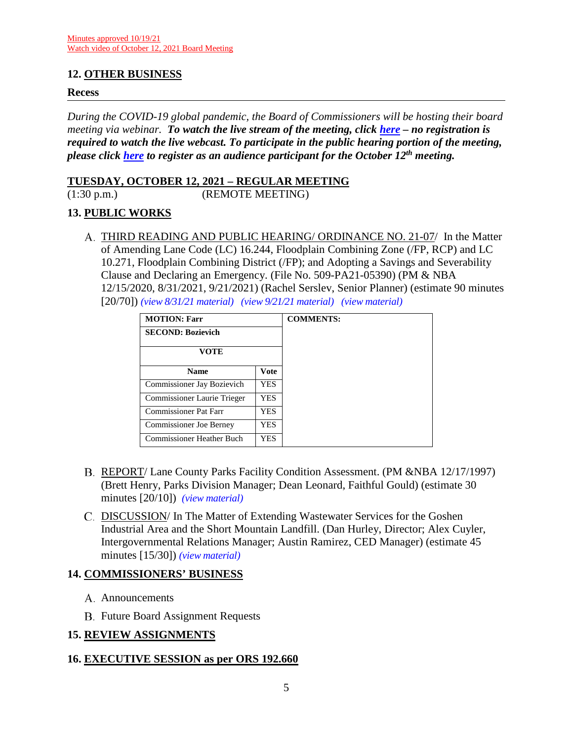## **12. OTHER BUSINESS**

#### **Recess**

*During the COVID-19 global pandemic, the Board of Commissioners will be hosting their board meeting via webinar. To watch the live stream of the meeting, click [here](https://lanecounty.org/cms/One.aspx?portalId=3585881&pageId=7842434) – no registration is required to watch the live webcast. To participate in the public hearing portion of the meeting, please click [here](https://attendee.gotowebinar.com/register/3101054217051382541) to register as an audience participant for the October 12th meeting.*

### **TUESDAY, OCTOBER 12, 2021 – REGULAR MEETING**

(1:30 p.m.) (REMOTE MEETING)

## **13. PUBLIC WORKS**

THIRD READING AND PUBLIC HEARING/ ORDINANCE NO. 21-07/ In the Matter of Amending Lane Code (LC) 16.244, Floodplain Combining Zone (/FP, RCP) and LC 10.271, Floodplain Combining District (/FP); and Adopting a Savings and Severability Clause and Declaring an Emergency. (File No. 509-PA21-05390) (PM & NBA 12/15/2020, 8/31/2021, 9/21/2021) (Rachel Serslev, Senior Planner) (estimate 90 minutes [20/70]) *(view [8/31/21 material\)](http://www.lanecountyor.gov/UserFiles/Servers/Server_3585797/File/Government/BCC/2021/2021_AGENDAS/083121agenda/T.8.B.pdf) (view [9/21/21 material\)](http://www.lanecountyor.gov/UserFiles/Servers/Server_3585797/File/Government/BCC/2021/2021_AGENDAS/092121agenda/T.14.A.pdf) (view [material\)](http://www.lanecountyor.gov/UserFiles/Servers/Server_3585797/File/Government/BCC/2021/2021_AGENDAS/101221agenda/T.13.A.pdf)*

| <b>MOTION: Farr</b>              |      | <b>COMMENTS:</b> |
|----------------------------------|------|------------------|
| <b>SECOND: Bozievich</b>         |      |                  |
| <b>VOTE</b>                      |      |                  |
| <b>Name</b>                      | Vote |                  |
| Commissioner Jay Bozievich       | YES. |                  |
| Commissioner Laurie Trieger      | YES  |                  |
| <b>Commissioner Pat Farr</b>     | YES  |                  |
| <b>Commissioner Joe Berney</b>   | YES  |                  |
| <b>Commissioner</b> Heather Buch | YES  |                  |

- REPORT/ Lane County Parks Facility Condition Assessment. (PM &NBA 12/17/1997) (Brett Henry, Parks Division Manager; Dean Leonard, Faithful Gould) (estimate 30 minutes [20/10]) *(view [material\)](http://www.lanecountyor.gov/UserFiles/Servers/Server_3585797/File/Government/BCC/2021/2021_AGENDAS/101221agenda/T.13.B.pdf)*
- C. DISCUSSION/ In The Matter of Extending Wastewater Services for the Goshen Industrial Area and the Short Mountain Landfill. (Dan Hurley, Director; Alex Cuyler, Intergovernmental Relations Manager; Austin Ramirez, CED Manager) (estimate 45 minutes [15/30]) *(view [material\)](http://www.lanecountyor.gov/UserFiles/Servers/Server_3585797/File/Government/BCC/2021/2021_AGENDAS/101221agenda/T.13.C.pdf)*

## **14. COMMISSIONERS' BUSINESS**

- A. Announcements
- **B.** Future Board Assignment Requests

## **15. REVIEW ASSIGNMENTS**

### **16. EXECUTIVE SESSION as per ORS 192.660**